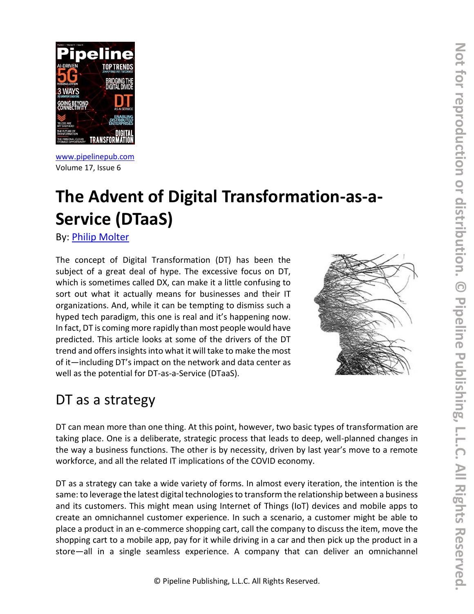

[www.pipelinepub.com](https://www.pipelinepub.com/240) Volume 17, Issue 6

# **The Advent of Digital Transformation-as-a-Service (DTaaS)**

By: [Philip Molter](https://pipeline.pubspoke.com/contributors?issue_preview=240#Philip-Molter)

The concept of Digital Transformation (DT) has been the subject of a great deal of hype. The excessive focus on DT, which is sometimes called DX, can make it a little confusing to sort out what it actually means for businesses and their IT organizations. And, while it can be tempting to dismiss such a hyped tech paradigm, this one is real and it's happening now. In fact, DT is coming more rapidly than most people would have predicted. This article looks at some of the drivers of the DT trend and offers insights into what it will take to make the most of it—including DT's impact on the network and data center as well as the potential for DT-as-a-Service (DTaaS).



### DT as a strategy

DT can mean more than one thing. At this point, however, two basic types of transformation are taking place. One is a deliberate, strategic process that leads to deep, well-planned changes in the way a business functions. The other is by necessity, driven by last year's move to a remote workforce, and all the related IT implications of the COVID economy.

DT as a strategy can take a wide variety of forms. In almost every iteration, the intention is the same: to leverage the latest digital technologies to transform the relationship between a business and its customers. This might mean using Internet of Things (IoT) devices and mobile apps to create an omnichannel customer experience. In such a scenario, a customer might be able to place a product in an e-commerce shopping cart, call the company to discuss the item, move the shopping cart to a mobile app, pay for it while driving in a car and then pick up the product in a store—all in a single seamless experience. A company that can deliver an omnichannel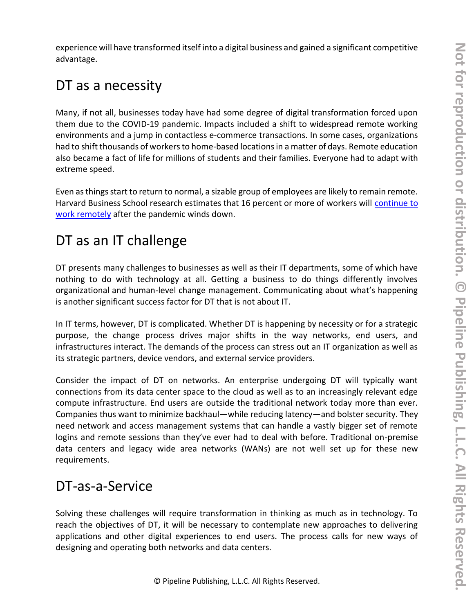experience will have transformed itself into a digital business and gained a significant competitive advantage.

#### DT as a necessity

Many, if not all, businesses today have had some degree of digital transformation forced upon them due to the COVID-19 pandemic. Impacts included a shift to widespread remote working environments and a jump in contactless e-commerce transactions. In some cases, organizations had to shift thousands of workers to home-based locations in a matter of days. Remote education also became a fact of life for millions of students and their families. Everyone had to adapt with extreme speed.

Even as things start to return to normal, a sizable group of employees are likely to remain remote. Harvard Business School research estimates that 16 percent or more of workers will continue to [work remotely](https://hbswk.hbs.edu/item/how-much-will-remote-work-continue-after-the-pandemic) after the pandemic winds down.

# DT as an IT challenge

DT presents many challenges to businesses as well as their IT departments, some of which have nothing to do with technology at all. Getting a business to do things differently involves organizational and human-level change management. Communicating about what's happening is another significant success factor for DT that is not about IT.

In IT terms, however, DT is complicated. Whether DT is happening by necessity or for a strategic purpose, the change process drives major shifts in the way networks, end users, and infrastructures interact. The demands of the process can stress out an IT organization as well as its strategic partners, device vendors, and external service providers.

Consider the impact of DT on networks. An enterprise undergoing DT will typically want connections from its data center space to the cloud as well as to an increasingly relevant edge compute infrastructure. End users are outside the traditional network today more than ever. Companies thus want to minimize backhaul—while reducing latency—and bolster security. They need network and access management systems that can handle a vastly bigger set of remote logins and remote sessions than they've ever had to deal with before. Traditional on-premise data centers and legacy wide area networks (WANs) are not well set up for these new requirements.

### DT-as-a-Service

Solving these challenges will require transformation in thinking as much as in technology. To reach the objectives of DT, it will be necessary to contemplate new approaches to delivering applications and other digital experiences to end users. The process calls for new ways of designing and operating both networks and data centers.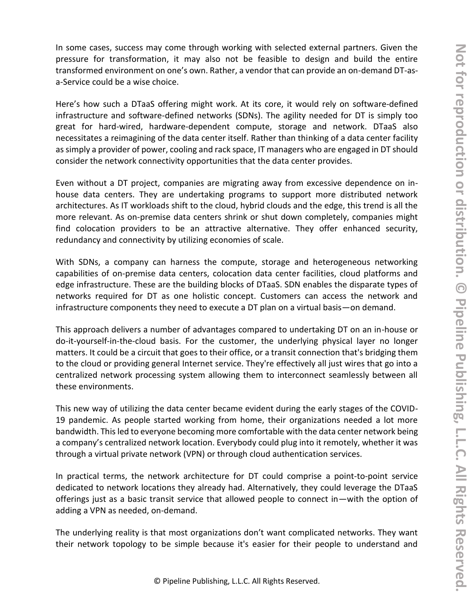In some cases, success may come through working with selected external partners. Given the pressure for transformation, it may also not be feasible to design and build the entire transformed environment on one's own. Rather, a vendor that can provide an on-demand DT-asa-Service could be a wise choice.

Here's how such a DTaaS offering might work. At its core, it would rely on software-defined infrastructure and software-defined networks (SDNs). The agility needed for DT is simply too great for hard-wired, hardware-dependent compute, storage and network. DTaaS also necessitates a reimagining of the data center itself. Rather than thinking of a data center facility as simply a provider of power, cooling and rack space, IT managers who are engaged in DT should consider the network connectivity opportunities that the data center provides.

Even without a DT project, companies are migrating away from excessive dependence on inhouse data centers. They are undertaking programs to support more distributed network architectures. As IT workloads shift to the cloud, hybrid clouds and the edge, this trend is all the more relevant. As on-premise data centers shrink or shut down completely, companies might find colocation providers to be an attractive alternative. They offer enhanced security, redundancy and connectivity by utilizing economies of scale.

With SDNs, a company can harness the compute, storage and heterogeneous networking capabilities of on-premise data centers, colocation data center facilities, cloud platforms and edge infrastructure. These are the building blocks of DTaaS. SDN enables the disparate types of networks required for DT as one holistic concept. Customers can access the network and infrastructure components they need to execute a DT plan on a virtual basis—on demand.

This approach delivers a number of advantages compared to undertaking DT on an in-house or do-it-yourself-in-the-cloud basis. For the customer, the underlying physical layer no longer matters. It could be a circuit that goes to their office, or a transit connection that's bridging them to the cloud or providing general Internet service. They're effectively all just wires that go into a centralized network processing system allowing them to interconnect seamlessly between all these environments.

This new way of utilizing the data center became evident during the early stages of the COVID-19 pandemic. As people started working from home, their organizations needed a lot more bandwidth. This led to everyone becoming more comfortable with the data center network being a company's centralized network location. Everybody could plug into it remotely, whether it was through a virtual private network (VPN) or through cloud authentication services.

In practical terms, the network architecture for DT could comprise a point-to-point service dedicated to network locations they already had. Alternatively, they could leverage the DTaaS offerings just as a basic transit service that allowed people to connect in—with the option of adding a VPN as needed, on-demand.

The underlying reality is that most organizations don't want complicated networks. They want their network topology to be simple because it's easier for their people to understand and